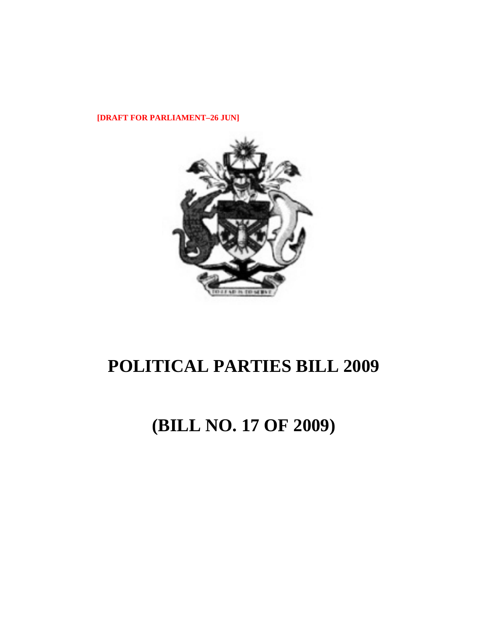**[DRAFT FOR PARLIAMENT–26 JUN]** 



# **POLITICAL PARTIES BILL 2009**

# **(BILL NO. 17 OF 2009)**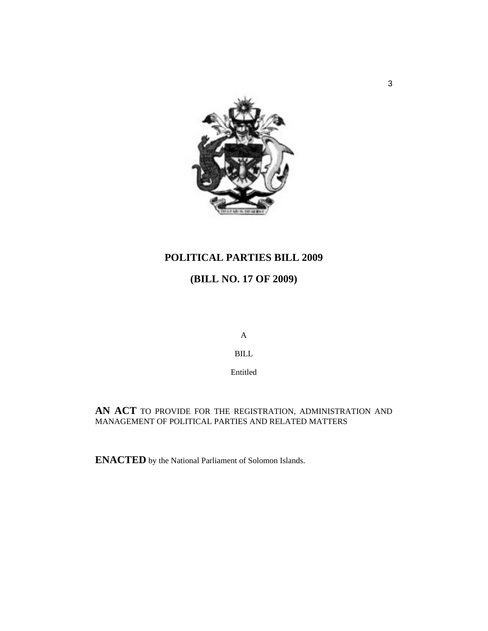

# **POLITICAL PARTIES BILL 2009**

# **(BILL NO. 17 OF 2009)**

A

BILL

Entitled

**AN ACT** TO PROVIDE FOR THE REGISTRATION, ADMINISTRATION AND MANAGEMENT OF POLITICAL PARTIES AND RELATED MATTERS

**ENACTED** by the National Parliament of Solomon Islands.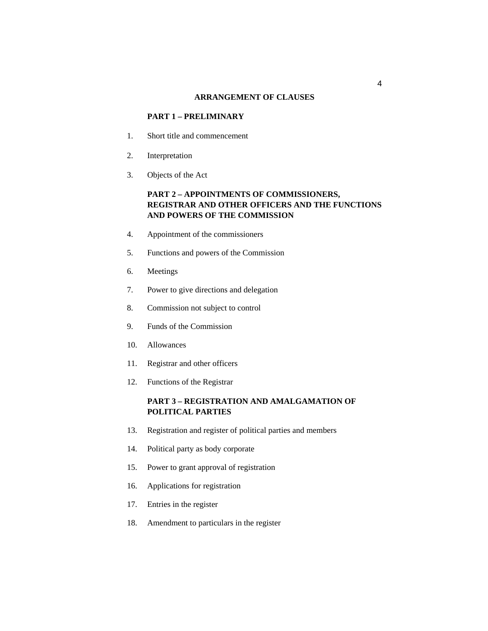#### **ARRANGEMENT OF CLAUSES**

# **PART 1 – PRELIMINARY**

- 1. Short title and commencement
- 2. Interpretation
- 3. Objects of the Act

# **PART 2 – APPOINTMENTS OF COMMISSIONERS, REGISTRAR AND OTHER OFFICERS AND THE FUNCTIONS AND POWERS OF THE COMMISSION**

- 4. Appointment of the commissioners
- 5. Functions and powers of the Commission
- 6. Meetings
- 7. Power to give directions and delegation
- 8. Commission not subject to control
- 9. Funds of the Commission
- 10. Allowances
- 11. Registrar and other officers
- 12. Functions of the Registrar

# **PART 3 – REGISTRATION AND AMALGAMATION OF POLITICAL PARTIES**

- 13. Registration and register of political parties and members
- 14. Political party as body corporate
- 15. Power to grant approval of registration
- 16. Applications for registration
- 17. Entries in the register
- 18. Amendment to particulars in the register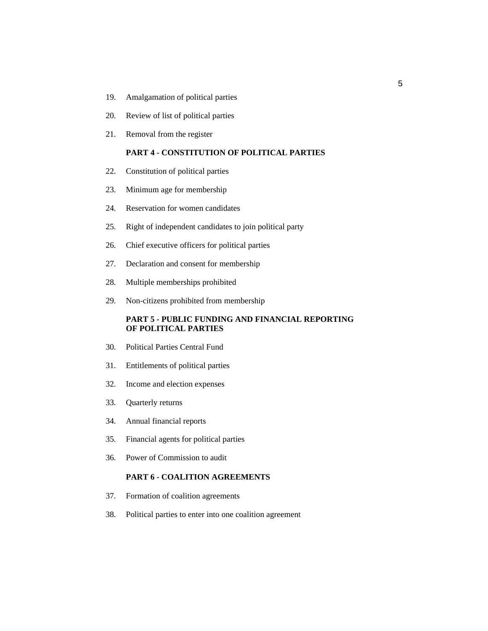- 19. Amalgamation of political parties
- 20. Review of list of political parties
- 21. Removal from the register

# **PART 4 - CONSTITUTION OF POLITICAL PARTIES**

- 22. Constitution of political parties
- 23. Minimum age for membership
- 24. Reservation for women candidates
- 25. Right of independent candidates to join political party
- 26. Chief executive officers for political parties
- 27. Declaration and consent for membership
- 28. Multiple memberships prohibited
- 29. Non-citizens prohibited from membership

#### **PART 5 - PUBLIC FUNDING AND FINANCIAL REPORTING OF POLITICAL PARTIES**

- 30. Political Parties Central Fund
- 31. Entitlements of political parties
- 32. Income and election expenses
- 33. Quarterly returns
- 34. Annual financial reports
- 35. Financial agents for political parties
- 36. Power of Commission to audit

#### **PART 6 - COALITION AGREEMENTS**

- 37. Formation of coalition agreements
- 38. Political parties to enter into one coalition agreement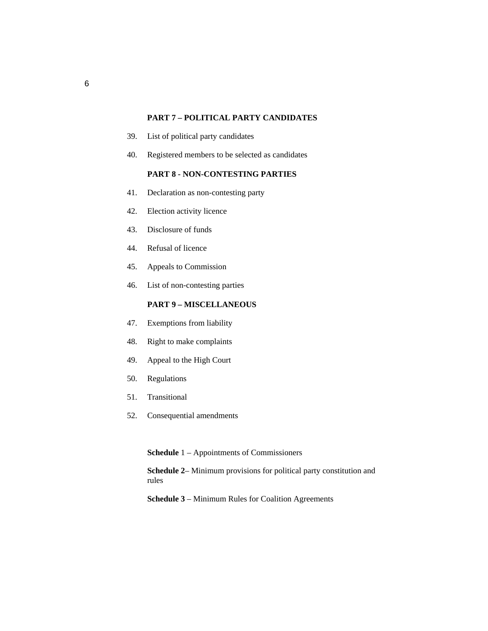#### **PART 7 – POLITICAL PARTY CANDIDATES**

- 39. List of political party candidates
- 40. Registered members to be selected as candidates

# **PART 8 - NON-CONTESTING PARTIES**

- 41. Declaration as non-contesting party
- 42. Election activity licence
- 43. Disclosure of funds
- 44. Refusal of licence
- 45. Appeals to Commission
- 46. List of non-contesting parties

# **PART 9 – MISCELLANEOUS**

- 47. Exemptions from liability
- 48. Right to make complaints
- 49. Appeal to the High Court
- 50. Regulations
- 51. Transitional
- 52. Consequential amendments

**Schedule** 1 – Appointments of Commissioners

**Schedule 2**– Minimum provisions for political party constitution and rules

**Schedule 3** – Minimum Rules for Coalition Agreements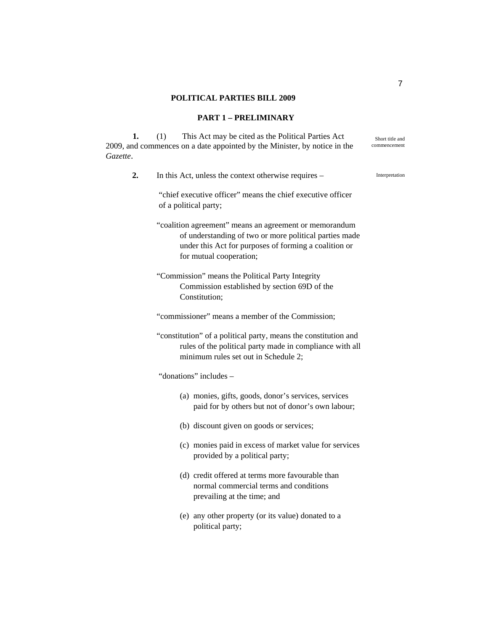#### **POLITICAL PARTIES BILL 2009**

#### **PART 1 – PRELIMINARY**

**1.** (1) This Act may be cited as the Political Parties Act 2009, and commences on a date appointed by the Minister, by notice in the *Gazette*.

Short title and commencement

**2.** In this Act, unless the context otherwise requires – Interpretation

"chief executive officer" means the chief executive officer of a political party;

"coalition agreement" means an agreement or memorandum of understanding of two or more political parties made under this Act for purposes of forming a coalition or for mutual cooperation;

"Commission" means the Political Party Integrity Commission established by section 69D of the Constitution;

"commissioner" means a member of the Commission;

"constitution" of a political party, means the constitution and rules of the political party made in compliance with all minimum rules set out in Schedule 2;

"donations" includes –

- (a) monies, gifts, goods, donor's services, services paid for by others but not of donor's own labour;
- (b) discount given on goods or services;
- (c) monies paid in excess of market value for services provided by a political party;
- (d) credit offered at terms more favourable than normal commercial terms and conditions prevailing at the time; and
- (e) any other property (or its value) donated to a political party;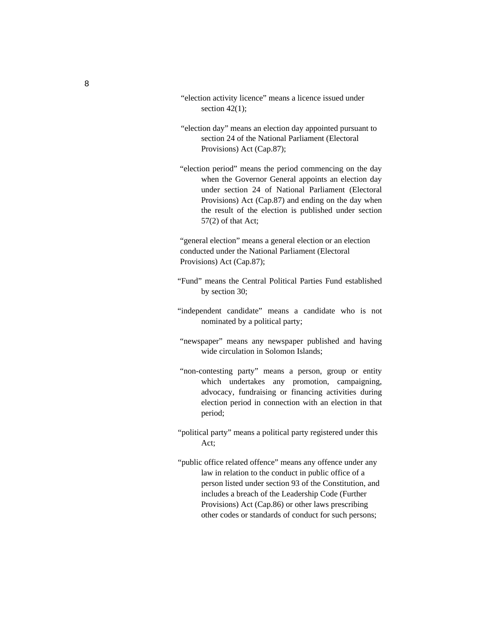- "election activity licence" means a licence issued under section  $42(1)$ ;
- "election day" means an election day appointed pursuant to section 24 of the National Parliament (Electoral Provisions) Act (Cap.87);
- "election period" means the period commencing on the day when the Governor General appoints an election day under section 24 of National Parliament (Electoral Provisions) Act (Cap.87) and ending on the day when the result of the election is published under section 57(2) of that Act;

"general election" means a general election or an election conducted under the National Parliament (Electoral Provisions) Act (Cap.87);

- "Fund" means the Central Political Parties Fund established by section 30;
- "independent candidate" means a candidate who is not nominated by a political party;
- "newspaper" means any newspaper published and having wide circulation in Solomon Islands;
- "non-contesting party" means a person, group or entity which undertakes any promotion, campaigning, advocacy, fundraising or financing activities during election period in connection with an election in that period;
- "political party" means a political party registered under this Act;
- "public office related offence" means any offence under any law in relation to the conduct in public office of a person listed under section 93 of the Constitution, and includes a breach of the Leadership Code (Further Provisions) Act (Cap.86) or other laws prescribing other codes or standards of conduct for such persons;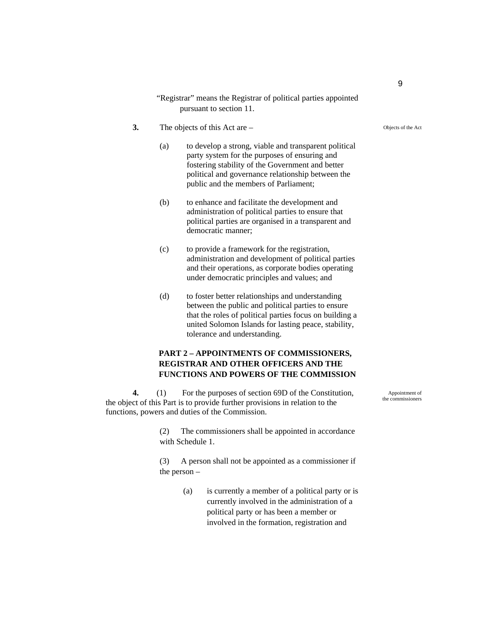"Registrar" means the Registrar of political parties appointed pursuant to section 11.

- **3.** The objects of this Act are
	- (a) to develop a strong, viable and transparent political party system for the purposes of ensuring and fostering stability of the Government and better political and governance relationship between the public and the members of Parliament;
	- (b) to enhance and facilitate the development and administration of political parties to ensure that political parties are organised in a transparent and democratic manner;
	- (c) to provide a framework for the registration, administration and development of political parties and their operations, as corporate bodies operating under democratic principles and values; and
	- (d) to foster better relationships and understanding between the public and political parties to ensure that the roles of political parties focus on building a united Solomon Islands for lasting peace, stability, tolerance and understanding.

## **PART 2 – APPOINTMENTS OF COMMISSIONERS, REGISTRAR AND OTHER OFFICERS AND THE FUNCTIONS AND POWERS OF THE COMMISSION**

**4.** (1) For the purposes of section 69D of the Constitution, the object of this Part is to provide further provisions in relation to the functions, powers and duties of the Commission.

> (2) The commissioners shall be appointed in accordance with Schedule 1.

> (3) A person shall not be appointed as a commissioner if the person –

> > (a) is currently a member of a political party or is currently involved in the administration of a political party or has been a member or involved in the formation, registration and

Appointment of the commissioners

Objects of the Act

9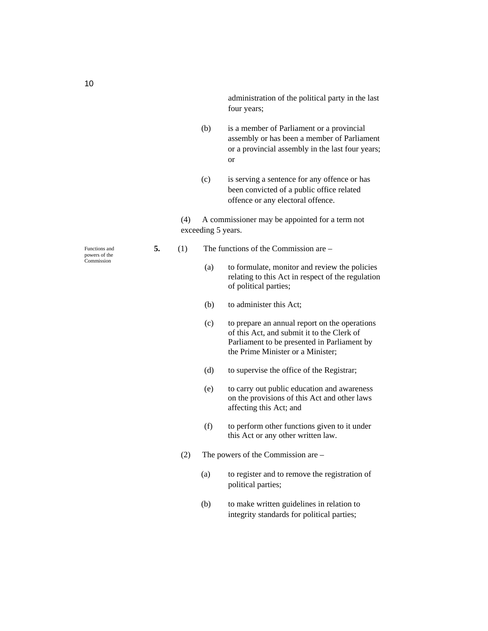administration of the political party in the last four years;

- (b) is a member of Parliament or a provincial assembly or has been a member of Parliament or a provincial assembly in the last four years; or
- (c) is serving a sentence for any offence or has been convicted of a public office related offence or any electoral offence.

(4) A commissioner may be appointed for a term not exceeding 5 years.

- **5.** (1) The functions of the Commission are
	- (a) to formulate, monitor and review the policies relating to this Act in respect of the regulation of political parties;
	- (b) to administer this Act;
	- (c) to prepare an annual report on the operations of this Act, and submit it to the Clerk of Parliament to be presented in Parliament by the Prime Minister or a Minister;
	- (d) to supervise the office of the Registrar;
	- (e) to carry out public education and awareness on the provisions of this Act and other laws affecting this Act; and
	- (f) to perform other functions given to it under this Act or any other written law.
	- (2) The powers of the Commission are
		- (a) to register and to remove the registration of political parties;
		- (b) to make written guidelines in relation to integrity standards for political parties;

Functions and powers of the Commission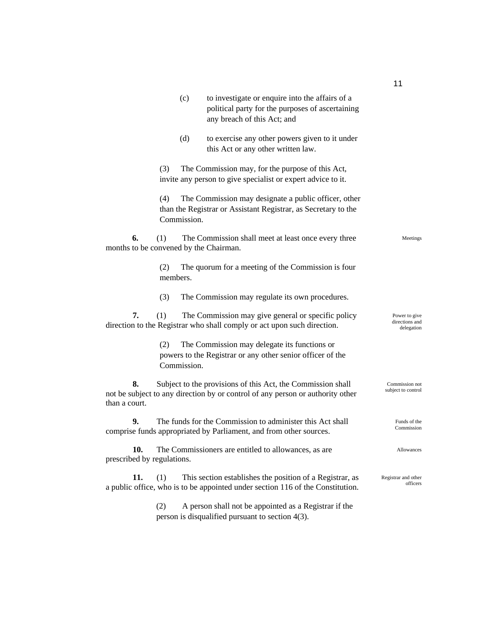|                                              |                 | (c)         | to investigate or enquire into the affairs of a<br>political party for the purposes of ascertaining<br>any breach of this Act; and            |                                               |
|----------------------------------------------|-----------------|-------------|-----------------------------------------------------------------------------------------------------------------------------------------------|-----------------------------------------------|
|                                              |                 | (d)         | to exercise any other powers given to it under<br>this Act or any other written law.                                                          |                                               |
|                                              | (3)             |             | The Commission may, for the purpose of this Act,<br>invite any person to give specialist or expert advice to it.                              |                                               |
|                                              | (4)             | Commission. | The Commission may designate a public officer, other<br>than the Registrar or Assistant Registrar, as Secretary to the                        |                                               |
| 6.<br>months to be convened by the Chairman. | (1)             |             | The Commission shall meet at least once every three                                                                                           | Meetings                                      |
|                                              | (2)<br>members. |             | The quorum for a meeting of the Commission is four                                                                                            |                                               |
|                                              | (3)             |             | The Commission may regulate its own procedures.                                                                                               |                                               |
| 7.                                           | (1)             |             | The Commission may give general or specific policy<br>direction to the Registrar who shall comply or act upon such direction.                 | Power to give<br>directions and<br>delegation |
|                                              | (2)             | Commission. | The Commission may delegate its functions or<br>powers to the Registrar or any other senior officer of the                                    |                                               |
| 8.<br>than a court.                          |                 |             | Subject to the provisions of this Act, the Commission shall<br>not be subject to any direction by or control of any person or authority other | Commission not<br>subject to control          |
| 9.                                           |                 |             | The funds for the Commission to administer this Act shall<br>comprise funds appropriated by Parliament, and from other sources.               | Funds of the<br>Commission                    |
| 10<br>prescribed by regulations.             |                 |             | The Commissioners are entitled to allowances, as are                                                                                          | Allowances                                    |
| 11.                                          | (1)             |             | This section establishes the position of a Registrar, as<br>a public office, who is to be appointed under section 116 of the Constitution.    | Registrar and other<br>officers               |
|                                              | (2)             |             | A person shall not be appointed as a Registrar if the<br>person is disqualified pursuant to section 4(3).                                     |                                               |

11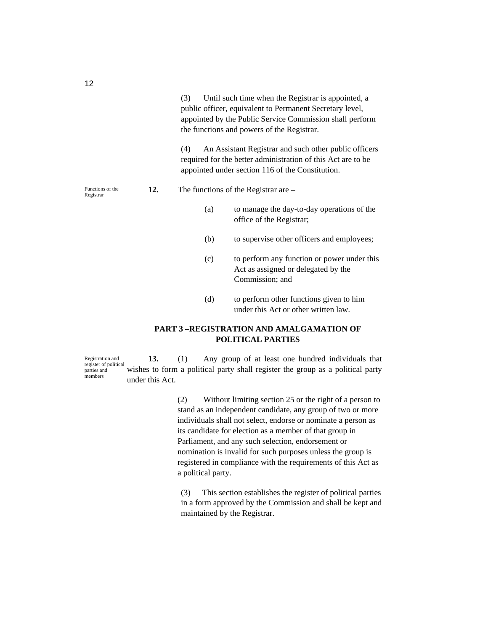(3) Until such time when the Registrar is appointed, a public officer, equivalent to Permanent Secretary level, appointed by the Public Service Commission shall perform the functions and powers of the Registrar.

(4) An Assistant Registrar and such other public officers required for the better administration of this Act are to be appointed under section 116 of the Constitution.

#### **12.** The functions of the Registrar are –

- (a) to manage the day-to-day operations of the office of the Registrar;
- (b) to supervise other officers and employees;
- (c) to perform any function or power under this Act as assigned or delegated by the Commission; and
- (d) to perform other functions given to him under this Act or other written law.

# **PART 3 –REGISTRATION AND AMALGAMATION OF POLITICAL PARTIES**

**13.** (1) Any group of at least one hundred individuals that wishes to form a political party shall register the group as a political party under this Act. Registration and register of political parties and members

> (2) Without limiting section 25 or the right of a person to stand as an independent candidate, any group of two or more individuals shall not select, endorse or nominate a person as its candidate for election as a member of that group in Parliament, and any such selection, endorsement or nomination is invalid for such purposes unless the group is registered in compliance with the requirements of this Act as a political party.

(3) This section establishes the register of political parties in a form approved by the Commission and shall be kept and maintained by the Registrar.

Functions of the Registrar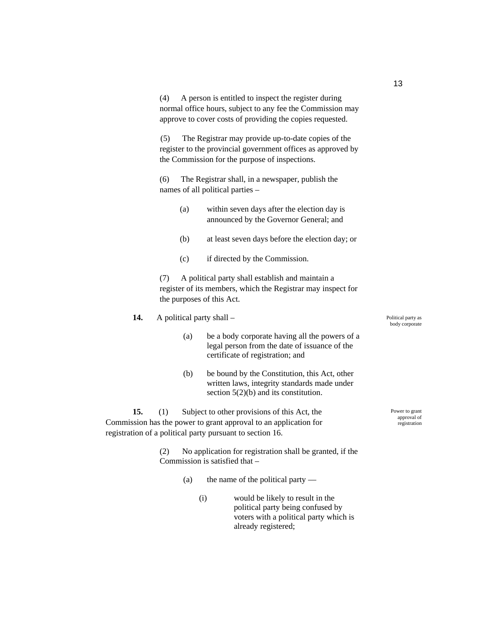(4) A person is entitled to inspect the register during normal office hours, subject to any fee the Commission may approve to cover costs of providing the copies requested.

(5) The Registrar may provide up-to-date copies of the register to the provincial government offices as approved by the Commission for the purpose of inspections.

(6) The Registrar shall, in a newspaper, publish the names of all political parties –

| (a) | within seven days after the election day is |
|-----|---------------------------------------------|
|     | announced by the Governor General; and      |

- (b) at least seven days before the election day; or
- (c) if directed by the Commission.

(7) A political party shall establish and maintain a register of its members, which the Registrar may inspect for the purposes of this Act.

- **14.** A political party shall
	- (a) be a body corporate having all the powers of a legal person from the date of issuance of the certificate of registration; and
	- (b) be bound by the Constitution, this Act, other written laws, integrity standards made under section 5(2)(b) and its constitution.

**15.** (1) Subject to other provisions of this Act, the Commission has the power to grant approval to an application for registration of a political party pursuant to section 16.

> (2) No application for registration shall be granted, if the Commission is satisfied that –

- (a) the name of the political party
	- (i) would be likely to result in the political party being confused by voters with a political party which is already registered;

Political party as body corporate

Power to grant approval of registration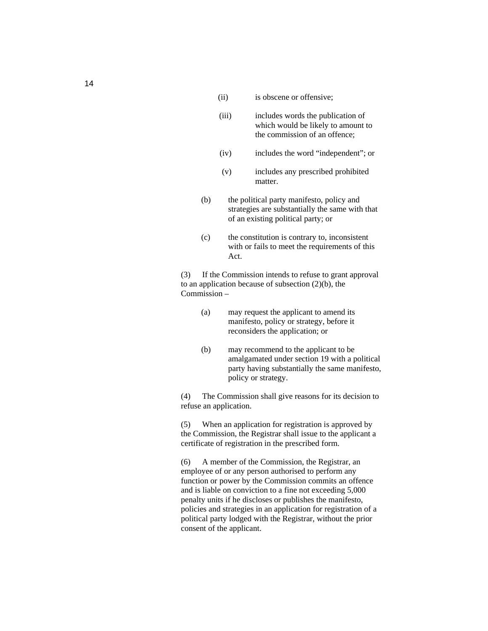- (ii) is obscene or offensive;
- (iii) includes words the publication of which would be likely to amount to the commission of an offence;
- (iv) includes the word "independent"; or
- (v) includes any prescribed prohibited matter.
- (b) the political party manifesto, policy and strategies are substantially the same with that of an existing political party; or
- (c) the constitution is contrary to, inconsistent with or fails to meet the requirements of this Act.

(3) If the Commission intends to refuse to grant approval to an application because of subsection (2)(b), the Commission –

- (a) may request the applicant to amend its manifesto, policy or strategy, before it reconsiders the application; or
- (b) may recommend to the applicant to be amalgamated under section 19 with a political party having substantially the same manifesto, policy or strategy.

(4) The Commission shall give reasons for its decision to refuse an application.

(5) When an application for registration is approved by the Commission, the Registrar shall issue to the applicant a certificate of registration in the prescribed form.

(6) A member of the Commission, the Registrar, an employee of or any person authorised to perform any function or power by the Commission commits an offence and is liable on conviction to a fine not exceeding 5,000 penalty units if he discloses or publishes the manifesto, policies and strategies in an application for registration of a political party lodged with the Registrar, without the prior consent of the applicant.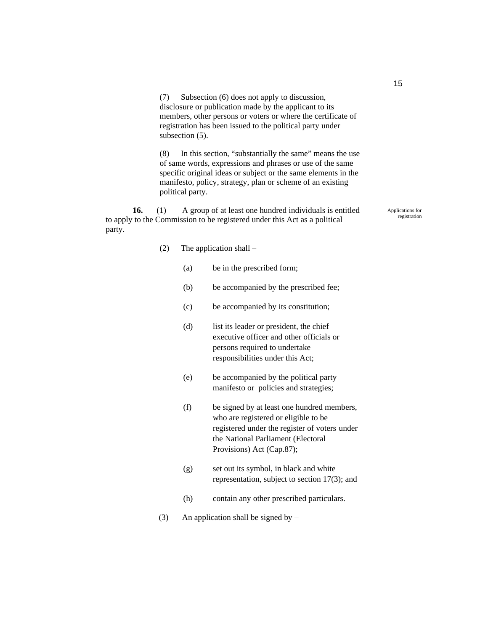(7) Subsection (6) does not apply to discussion, disclosure or publication made by the applicant to its members, other persons or voters or where the certificate of registration has been issued to the political party under subsection (5).

(8) In this section, "substantially the same" means the use of same words, expressions and phrases or use of the same specific original ideas or subject or the same elements in the manifesto, policy, strategy, plan or scheme of an existing political party.

**16.** (1) A group of at least one hundred individuals is entitled to apply to the Commission to be registered under this Act as a political party.

#### (2) The application shall –

- (a) be in the prescribed form;
- (b) be accompanied by the prescribed fee;
- (c) be accompanied by its constitution;
- (d) list its leader or president, the chief executive officer and other officials or persons required to undertake responsibilities under this Act;
- (e) be accompanied by the political party manifesto or policies and strategies;
- (f) be signed by at least one hundred members, who are registered or eligible to be registered under the register of voters under the National Parliament (Electoral Provisions) Act (Cap.87);
- (g) set out its symbol, in black and white representation, subject to section 17(3); and
- (h) contain any other prescribed particulars.
- (3) An application shall be signed by –

15

Applications for registration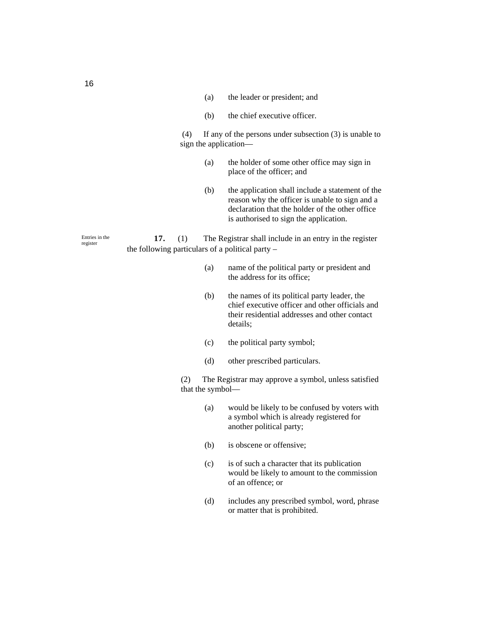- (a) the leader or president; and
- (b) the chief executive officer.

 (4) If any of the persons under subsection (3) is unable to sign the application—

- (a) the holder of some other office may sign in place of the officer; and
- (b) the application shall include a statement of the reason why the officer is unable to sign and a declaration that the holder of the other office is authorised to sign the application.

**17.** (1) The Registrar shall include in an entry in the register the following particulars of a political party –

- (a) name of the political party or president and the address for its office;
- (b) the names of its political party leader, the chief executive officer and other officials and their residential addresses and other contact details;
- (c) the political party symbol;
- (d) other prescribed particulars.

(2) The Registrar may approve a symbol, unless satisfied that the symbol—

- (a) would be likely to be confused by voters with a symbol which is already registered for another political party;
- (b) is obscene or offensive;
- (c) is of such a character that its publication would be likely to amount to the commission of an offence; or
- (d) includes any prescribed symbol, word, phrase or matter that is prohibited.

Entries in the

register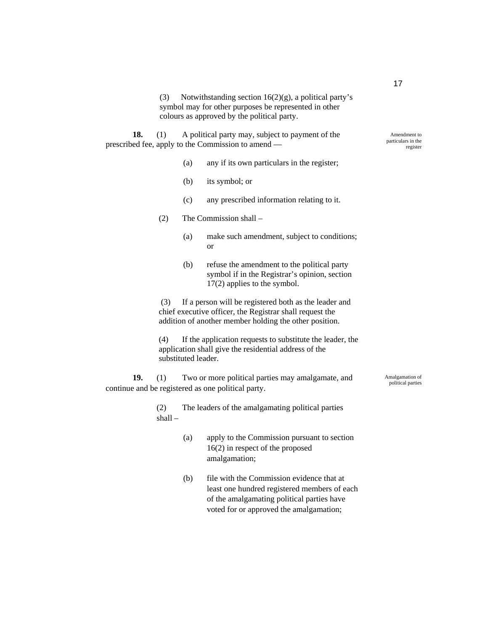(3) Notwithstanding section  $16(2)(g)$ , a political party's symbol may for other purposes be represented in other colours as approved by the political party.

**18.** (1) A political party may, subject to payment of the prescribed fee, apply to the Commission to amend —

- (a) any if its own particulars in the register;
- (b) its symbol; or
- (c) any prescribed information relating to it.
- (2) The Commission shall
	- (a) make such amendment, subject to conditions; or
	- (b) refuse the amendment to the political party symbol if in the Registrar's opinion, section 17(2) applies to the symbol.

 (3) If a person will be registered both as the leader and chief executive officer, the Registrar shall request the addition of another member holding the other position.

(4) If the application requests to substitute the leader, the application shall give the residential address of the substituted leader.

**19.** (1) Two or more political parties may amalgamate, and continue and be registered as one political party.

> (2) The leaders of the amalgamating political parties shall –

- (a) apply to the Commission pursuant to section 16(2) in respect of the proposed amalgamation;
- (b) file with the Commission evidence that at least one hundred registered members of each of the amalgamating political parties have voted for or approved the amalgamation;

Amalgamation of political parties

Amendment to particulars in the register

17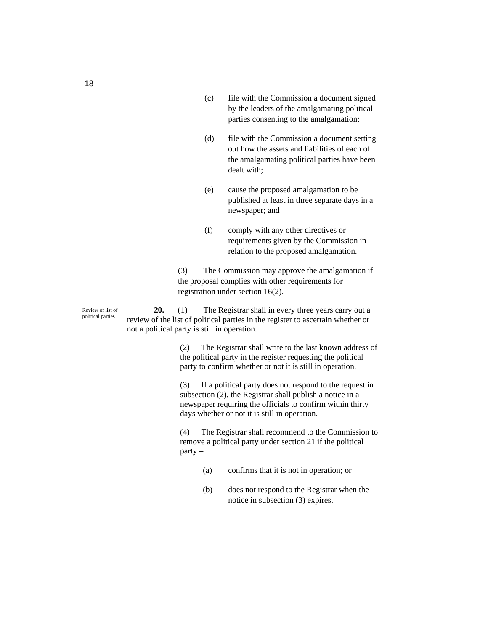- (c) file with the Commission a document signed by the leaders of the amalgamating political parties consenting to the amalgamation;
- (d) file with the Commission a document setting out how the assets and liabilities of each of the amalgamating political parties have been dealt with;
- (e) cause the proposed amalgamation to be published at least in three separate days in a newspaper; and
- (f) comply with any other directives or requirements given by the Commission in relation to the proposed amalgamation.

(3) The Commission may approve the amalgamation if the proposal complies with other requirements for registration under section 16(2).

**20.** (1) The Registrar shall in every three years carry out a review of the list of political parties in the register to ascertain whether or not a political party is still in operation.

> (2) The Registrar shall write to the last known address of the political party in the register requesting the political party to confirm whether or not it is still in operation.

(3) If a political party does not respond to the request in subsection (2), the Registrar shall publish a notice in a newspaper requiring the officials to confirm within thirty days whether or not it is still in operation.

(4) The Registrar shall recommend to the Commission to remove a political party under section 21 if the political party –

- (a) confirms that it is not in operation; or
- (b) does not respond to the Registrar when the notice in subsection (3) expires.

Review of list of political parties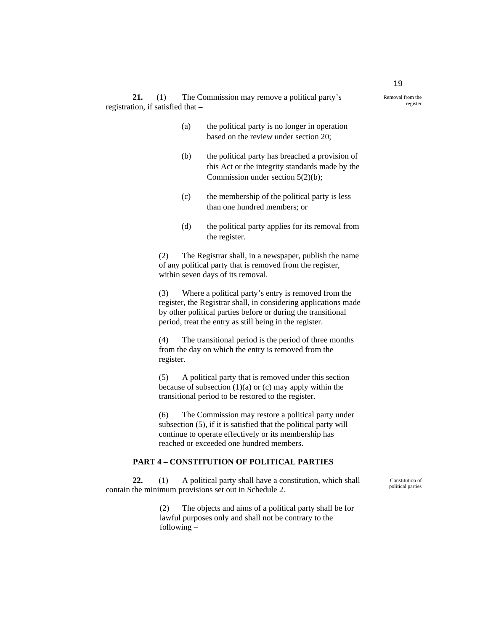- (a) the political party is no longer in operation based on the review under section 20;
- (b) the political party has breached a provision of this Act or the integrity standards made by the Commission under section 5(2)(b);
- (c) the membership of the political party is less than one hundred members; or
- (d) the political party applies for its removal from the register.

(2) The Registrar shall, in a newspaper, publish the name of any political party that is removed from the register, within seven days of its removal.

(3) Where a political party's entry is removed from the register, the Registrar shall, in considering applications made by other political parties before or during the transitional period, treat the entry as still being in the register.

(4) The transitional period is the period of three months from the day on which the entry is removed from the register.

(5) A political party that is removed under this section because of subsection  $(1)(a)$  or  $(c)$  may apply within the transitional period to be restored to the register.

(6) The Commission may restore a political party under subsection (5), if it is satisfied that the political party will continue to operate effectively or its membership has reached or exceeded one hundred members.

# **PART 4 – CONSTITUTION OF POLITICAL PARTIES**

**22.** (1)A political party shall have a constitution, which shall contain the minimum provisions set out in Schedule 2.

> (2) The objects and aims of a political party shall be for lawful purposes only and shall not be contrary to the following –

Constitution of political parties

Removal from the register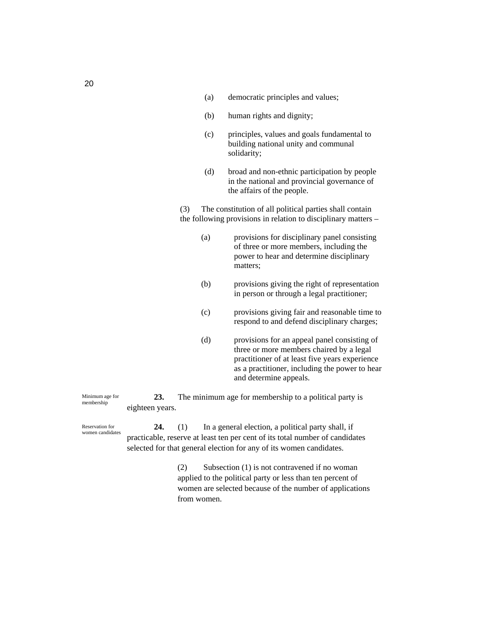- (a) democratic principles and values;
- (b) human rights and dignity;
- (c) principles, values and goals fundamental to building national unity and communal solidarity;
- (d) broad and non-ethnic participation by people in the national and provincial governance of the affairs of the people.

(3) The constitution of all political parties shall contain the following provisions in relation to disciplinary matters –

- (a) provisions for disciplinary panel consisting of three or more members, including the power to hear and determine disciplinary matters;
- (b) provisions giving the right of representation in person or through a legal practitioner;
- (c) provisions giving fair and reasonable time to respond to and defend disciplinary charges;
- (d) provisions for an appeal panel consisting of three or more members chaired by a legal practitioner of at least five years experience as a practitioner, including the power to hear and determine appeals.

**23.** The minimum age for membership to a political party is eighteen years.

**24.** (1) In a general election, a political party shall, if practicable, reserve at least ten per cent of its total number of candidates selected for that general election for any of its women candidates.

> (2) Subsection (1) is not contravened if no woman applied to the political party or less than ten percent of women are selected because of the number of applications from women.

20

Minimum age for membership

Reservation for women candidates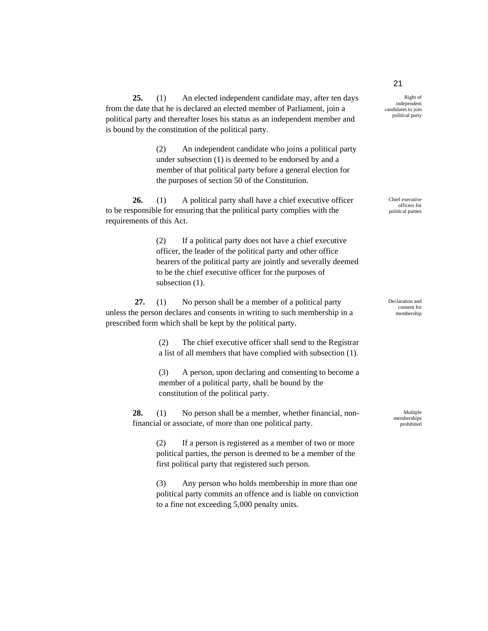**25.** (1) An elected independent candidate may, after ten days from the date that he is declared an elected member of Parliament, join a political party and thereafter loses his status as an independent member and is bound by the constitution of the political party.

> (2) An independent candidate who joins a political party under subsection (1) is deemed to be endorsed by and a member of that political party before a general election for the purposes of section 50 of the Constitution.

**26.** (1) A political party shall have a chief executive officer to be responsible for ensuring that the political party complies with the requirements of this Act.

> (2) If a political party does not have a chief executive officer, the leader of the political party and other office bearers of the political party are jointly and severally deemed to be the chief executive officer for the purposes of subsection  $(1)$ .

 **27.** (1) No person shall be a member of a political party unless the person declares and consents in writing to such membership in a prescribed form which shall be kept by the political party.

> (2) The chief executive officer shall send to the Registrar a list of all members that have complied with subsection (1).

> (3) A person, upon declaring and consenting to become a member of a political party, shall be bound by the constitution of the political party.

**28.** (1) No person shall be a member, whether financial, nonfinancial or associate, of more than one political party.

> (2) If a person is registered as a member of two or more political parties, the person is deemed to be a member of the first political party that registered such person.

> (3) Any person who holds membership in more than one political party commits an offence and is liable on conviction to a fine not exceeding 5,000 penalty units.

Right of independent candidates to join political party

Chief executive officers for political parties

Declaration and consent for membership

> Multiple memberships prohibited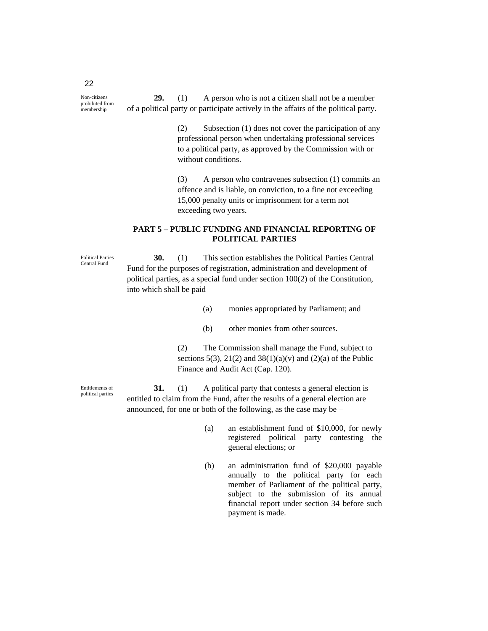**29.** (1) A person who is not a citizen shall not be a member of a political party or participate actively in the affairs of the political party.

> (2) Subsection (1) does not cover the participation of any professional person when undertaking professional services to a political party, as approved by the Commission with or without conditions.

> (3) A person who contravenes subsection (1) commits an offence and is liable, on conviction, to a fine not exceeding 15,000 penalty units or imprisonment for a term not exceeding two years.

#### **PART 5 – PUBLIC FUNDING AND FINANCIAL REPORTING OF POLITICAL PARTIES**

**30.** (1) This section establishes the Political Parties Central Fund for the purposes of registration, administration and development of political parties, as a special fund under section 100(2) of the Constitution, into which shall be paid –

- (a) monies appropriated by Parliament; and
- (b) other monies from other sources.

(2) The Commission shall manage the Fund, subject to sections 5(3), 21(2) and 38(1)(a)(v) and (2)(a) of the Public Finance and Audit Act (Cap. 120).

**31.** (1) A political party that contests a general election is entitled to claim from the Fund, after the results of a general election are announced, for one or both of the following, as the case may be –

- (a) an establishment fund of \$10,000, for newly registered political party contesting the general elections; or
- (b) an administration fund of \$20,000 payable annually to the political party for each member of Parliament of the political party, subject to the submission of its annual financial report under section 34 before such payment is made.

Political Parties Central Fund

Entitlements of political parties

Non-citizens prohibited from .<br>membership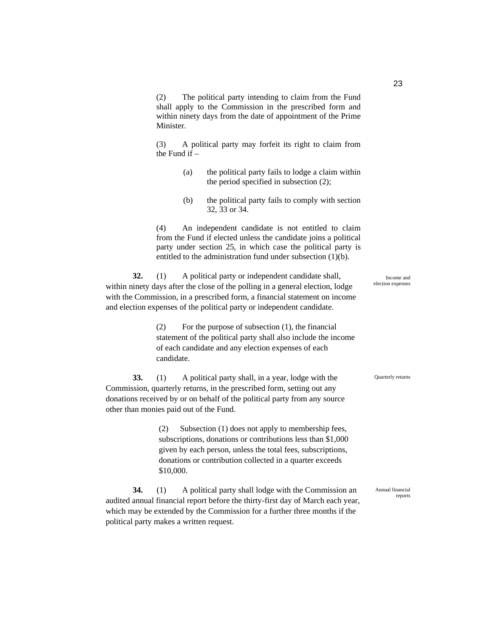(2) The political party intending to claim from the Fund shall apply to the Commission in the prescribed form and within ninety days from the date of appointment of the Prime Minister.

(3) A political party may forfeit its right to claim from the Fund if –

- (a) the political party fails to lodge a claim within the period specified in subsection (2);
- (b) the political party fails to comply with section 32, 33 or 34.

(4) An independent candidate is not entitled to claim from the Fund if elected unless the candidate joins a political party under section 25, in which case the political party is entitled to the administration fund under subsection (1)(b).

**32.** (1) A political party or independent candidate shall, within ninety days after the close of the polling in a general election, lodge with the Commission, in a prescribed form, a financial statement on income and election expenses of the political party or independent candidate.

> (2) For the purpose of subsection (1), the financial statement of the political party shall also include the income of each candidate and any election expenses of each candidate.

**33.** (1) A political party shall, in a year, lodge with the Commission, quarterly returns, in the prescribed form, setting out any donations received by or on behalf of the political party from any source other than monies paid out of the Fund.

> (2) Subsection (1) does not apply to membership fees, subscriptions, donations or contributions less than \$1,000 given by each person, unless the total fees, subscriptions, donations or contribution collected in a quarter exceeds \$10,000.

**34.** (1) A political party shall lodge with the Commission an audited annual financial report before the thirty-first day of March each year, which may be extended by the Commission for a further three months if the political party makes a written request.

Income and election expenses

Quarterly returns

Annual financial reports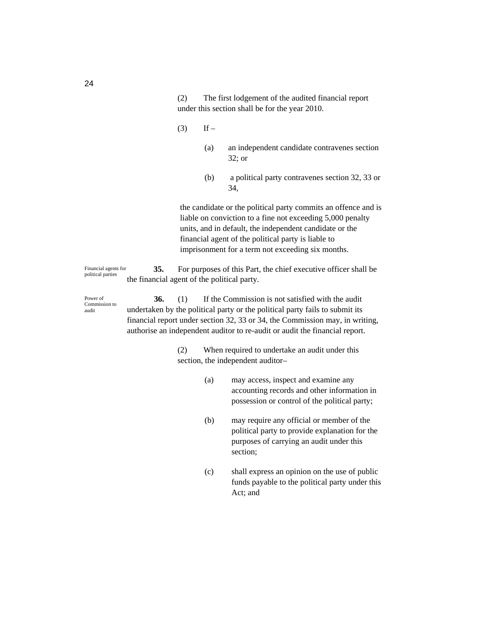(2) The first lodgement of the audited financial report under this section shall be for the year 2010.

- $(3)$  If
	- (a) an independent candidate contravenes section 32; or
	- (b) a political party contravenes section 32, 33 or 34,

the candidate or the political party commits an offence and is liable on conviction to a fine not exceeding 5,000 penalty units, and in default, the independent candidate or the financial agent of the political party is liable to imprisonment for a term not exceeding six months.

**35.** For purposes of this Part, the chief executive officer shall be the financial agent of the political party. Financial agents for political parties

**36.** (1) If the Commission is not satisfied with the audit undertaken by the political party or the political party fails to submit its financial report under section 32, 33 or 34, the Commission may, in writing, authorise an independent auditor to re-audit or audit the financial report. Power of Commission to

> (2) When required to undertake an audit under this section, the independent auditor–

- (a) may access, inspect and examine any accounting records and other information in possession or control of the political party;
- (b) may require any official or member of the political party to provide explanation for the purposes of carrying an audit under this section;
- (c) shall express an opinion on the use of public funds payable to the political party under this Act; and

audit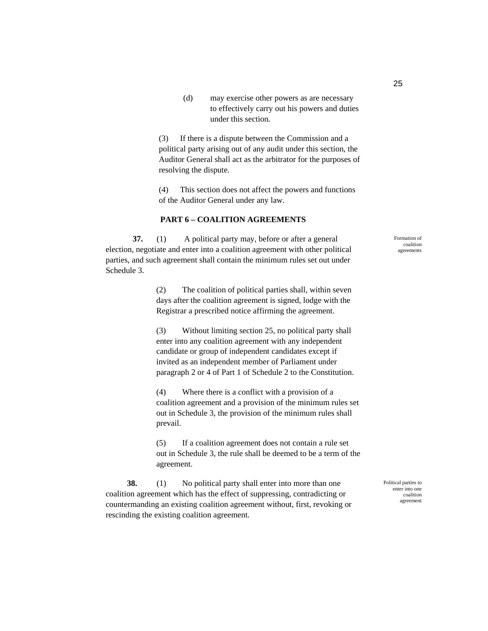(d) may exercise other powers as are necessary to effectively carry out his powers and duties under this section.

(3) If there is a dispute between the Commission and a political party arising out of any audit under this section, the Auditor General shall act as the arbitrator for the purposes of resolving the dispute.

(4) This section does not affect the powers and functions of the Auditor General under any law.

# **PART 6 – COALITION AGREEMENTS**

**37.** (1) A political party may, before or after a general election, negotiate and enter into a coalition agreement with other political parties, and such agreement shall contain the minimum rules set out under Schedule 3.

> (2) The coalition of political parties shall, within seven days after the coalition agreement is signed, lodge with the Registrar a prescribed notice affirming the agreement.

(3) Without limiting section 25, no political party shall enter into any coalition agreement with any independent candidate or group of independent candidates except if invited as an independent member of Parliament under paragraph 2 or 4 of Part 1 of Schedule 2 to the Constitution.

(4) Where there is a conflict with a provision of a coalition agreement and a provision of the minimum rules set out in Schedule 3, the provision of the minimum rules shall prevail.

(5) If a coalition agreement does not contain a rule set out in Schedule 3, the rule shall be deemed to be a term of the agreement.

**38.** (1) No political party shall enter into more than one coalition agreement which has the effect of suppressing, contradicting or countermanding an existing coalition agreement without, first, revoking or rescinding the existing coalition agreement.

Political parties to enter into one coalition agreement

Formation of coalition agreements

25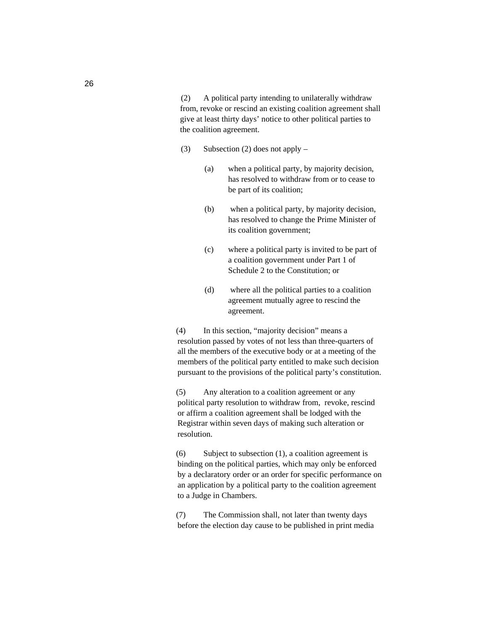(2) A political party intending to unilaterally withdraw from, revoke or rescind an existing coalition agreement shall give at least thirty days' notice to other political parties to the coalition agreement.

- (3) Subsection (2) does not apply
	- (a) when a political party, by majority decision, has resolved to withdraw from or to cease to be part of its coalition;
	- (b) when a political party, by majority decision, has resolved to change the Prime Minister of its coalition government;
	- (c) where a political party is invited to be part of a coalition government under Part 1 of Schedule 2 to the Constitution; or
	- (d) where all the political parties to a coalition agreement mutually agree to rescind the agreement.

(4) In this section, "majority decision" means a resolution passed by votes of not less than three-quarters of all the members of the executive body or at a meeting of the members of the political party entitled to make such decision pursuant to the provisions of the political party's constitution.

(5) Any alteration to a coalition agreement or any political party resolution to withdraw from, revoke, rescind or affirm a coalition agreement shall be lodged with the Registrar within seven days of making such alteration or resolution.

(6) Subject to subsection (1), a coalition agreement is binding on the political parties, which may only be enforced by a declaratory order or an order for specific performance on an application by a political party to the coalition agreement to a Judge in Chambers.

(7) The Commission shall, not later than twenty days before the election day cause to be published in print media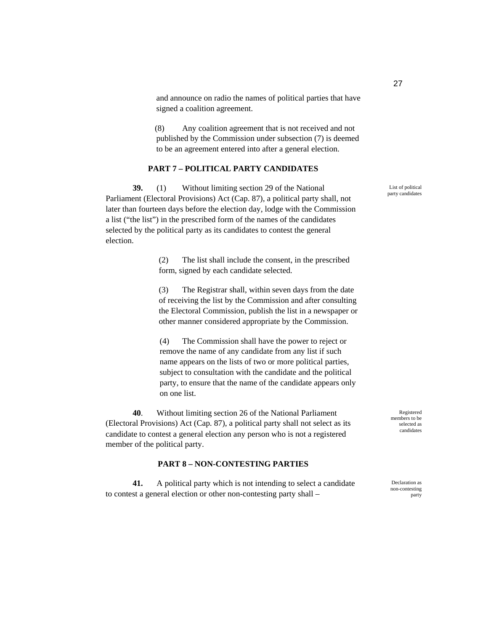and announce on radio the names of political parties that have signed a coalition agreement.

(8) Any coalition agreement that is not received and not published by the Commission under subsection (7) is deemed to be an agreement entered into after a general election.

#### **PART 7 – POLITICAL PARTY CANDIDATES**

**39.** (1) Without limiting section 29 of the National Parliament (Electoral Provisions) Act (Cap. 87), a political party shall, not later than fourteen days before the election day, lodge with the Commission a list ("the list") in the prescribed form of the names of the candidates selected by the political party as its candidates to contest the general election.

> (2) The list shall include the consent, in the prescribed form, signed by each candidate selected.

(3) The Registrar shall, within seven days from the date of receiving the list by the Commission and after consulting the Electoral Commission, publish the list in a newspaper or other manner considered appropriate by the Commission.

(4) The Commission shall have the power to reject or remove the name of any candidate from any list if such name appears on the lists of two or more political parties, subject to consultation with the candidate and the political party, to ensure that the name of the candidate appears only on one list.

**40**. Without limiting section 26 of the National Parliament (Electoral Provisions) Act (Cap. 87), a political party shall not select as its candidate to contest a general election any person who is not a registered member of the political party.

#### **PART 8 – NON-CONTESTING PARTIES**

**41.** A political party which is not intending to select a candidate to contest a general election or other non-contesting party shall –

Registered members to be selected as candidates

Declaration as non-contesting party

List of political party candidates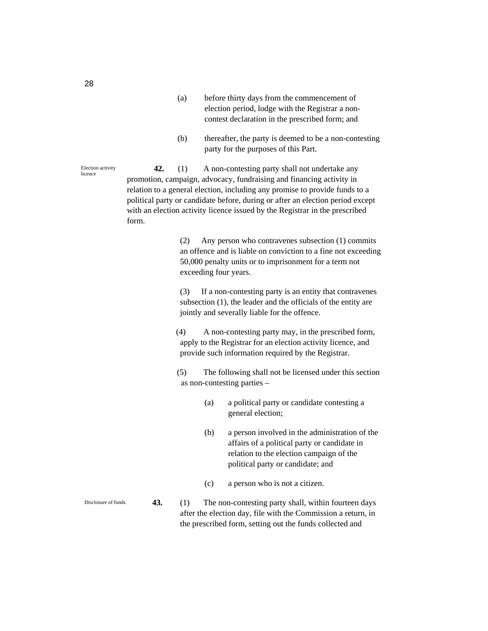- (a) before thirty days from the commencement of election period, lodge with the Registrar a noncontest declaration in the prescribed form; and
- (b) thereafter, the party is deemed to be a non-contesting party for the purposes of this Part.

**42.** (1) A non-contesting party shall not undertake any promotion, campaign, advocacy, fundraising and financing activity in relation to a general election, including any promise to provide funds to a political party or candidate before, during or after an election period except with an election activity licence issued by the Registrar in the prescribed form.

> (2) Any person who contravenes subsection (1) commits an offence and is liable on conviction to a fine not exceeding 50,000 penalty units or to imprisonment for a term not exceeding four years*.*

(3) If a non-contesting party is an entity that contravenes subsection (1), the leader and the officials of the entity are jointly and severally liable for the offence.

(4) A non-contesting party may, in the prescribed form, apply to the Registrar for an election activity licence, and provide such information required by the Registrar.

(5) The following shall not be licensed under this section as non-contesting parties –

- (a) a political party or candidate contesting a general election;
- (b) a person involved in the administration of the affairs of a political party or candidate in relation to the election campaign of the political party or candidate; and
- (c) a person who is not a citizen.
- **43.** (1) The non-contesting party shall, within fourteen days after the election day, file with the Commission a return, in the prescribed form, setting out the funds collected and

Election activity licence

Disclosure of funds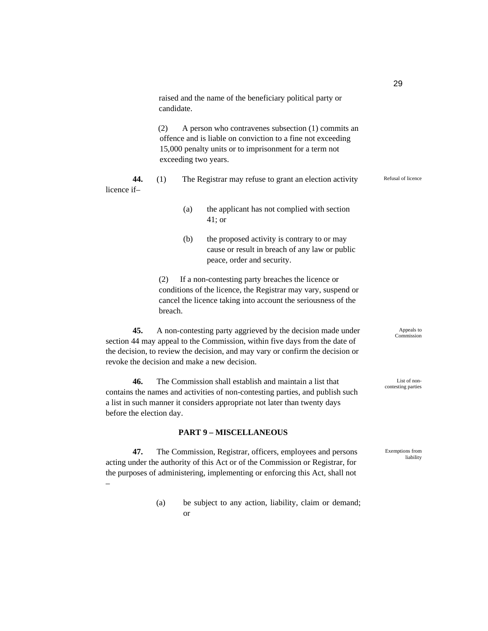|                                                                                                                                                                                                                                                                    |                                                                                                                                                                                                            | raised and the name of the beneficiary political party or<br>candidate. |                                                                                                                                                                                                                                                                            |                          |  |  |  |
|--------------------------------------------------------------------------------------------------------------------------------------------------------------------------------------------------------------------------------------------------------------------|------------------------------------------------------------------------------------------------------------------------------------------------------------------------------------------------------------|-------------------------------------------------------------------------|----------------------------------------------------------------------------------------------------------------------------------------------------------------------------------------------------------------------------------------------------------------------------|--------------------------|--|--|--|
|                                                                                                                                                                                                                                                                    | (2)<br>A person who contravenes subsection (1) commits an<br>offence and is liable on conviction to a fine not exceeding<br>15,000 penalty units or to imprisonment for a term not<br>exceeding two years. |                                                                         |                                                                                                                                                                                                                                                                            |                          |  |  |  |
| 44.<br>licence if-                                                                                                                                                                                                                                                 | (1)                                                                                                                                                                                                        |                                                                         | The Registrar may refuse to grant an election activity                                                                                                                                                                                                                     | Refusal of licence       |  |  |  |
|                                                                                                                                                                                                                                                                    |                                                                                                                                                                                                            | (a)                                                                     | the applicant has not complied with section<br>$41$ ; or                                                                                                                                                                                                                   |                          |  |  |  |
|                                                                                                                                                                                                                                                                    |                                                                                                                                                                                                            | (b)                                                                     | the proposed activity is contrary to or may<br>cause or result in breach of any law or public<br>peace, order and security.                                                                                                                                                |                          |  |  |  |
|                                                                                                                                                                                                                                                                    | If a non-contesting party breaches the licence or<br>(2)<br>conditions of the licence, the Registrar may vary, suspend or<br>cancel the licence taking into account the seriousness of the<br>breach.      |                                                                         |                                                                                                                                                                                                                                                                            |                          |  |  |  |
| 45.                                                                                                                                                                                                                                                                |                                                                                                                                                                                                            |                                                                         | A non-contesting party aggrieved by the decision made under<br>section 44 may appeal to the Commission, within five days from the date of<br>the decision, to review the decision, and may vary or confirm the decision or<br>revoke the decision and make a new decision. | Appeals to<br>Commission |  |  |  |
| 46.<br>The Commission shall establish and maintain a list that<br>List of non-<br>contesting parties<br>contains the names and activities of non-contesting parties, and publish such<br>a list in such manner it considers appropriate not later than twenty days |                                                                                                                                                                                                            |                                                                         |                                                                                                                                                                                                                                                                            |                          |  |  |  |

29

Exemptions from liability

#### **PART 9 – MISCELLANEOUS**

before the election day.

–

**47.** The Commission, Registrar, officers, employees and persons acting under the authority of this Act or of the Commission or Registrar, for the purposes of administering, implementing or enforcing this Act, shall not

> (a) be subject to any action, liability, claim or demand; or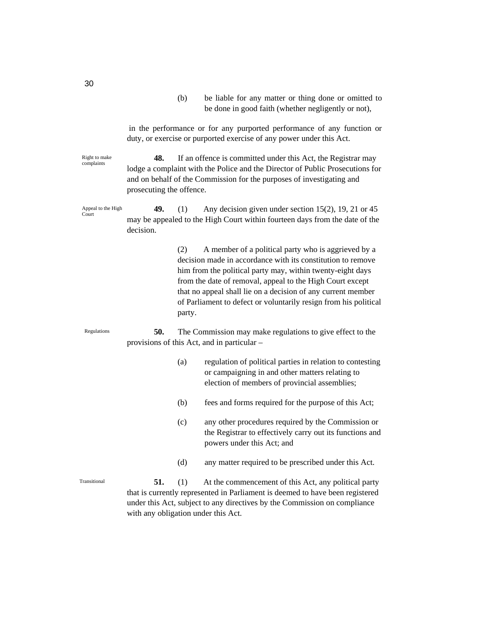(b) be liable for any matter or thing done or omitted to be done in good faith (whether negligently or not), in the performance or for any purported performance of any function or duty, or exercise or purported exercise of any power under this Act. **48.** If an offence is committed under this Act, the Registrar may lodge a complaint with the Police and the Director of Public Prosecutions for and on behalf of the Commission for the purposes of investigating and prosecuting the offence. **49.** (1) Any decision given under section 15(2), 19, 21 or 45 may be appealed to the High Court within fourteen days from the date of the decision. (2) A member of a political party who is aggrieved by a decision made in accordance with its constitution to remove him from the political party may, within twenty-eight days from the date of removal, appeal to the High Court except that no appeal shall lie on a decision of any current member of Parliament to defect or voluntarily resign from his political party. **50.** The Commission may make regulations to give effect to the provisions of this Act, and in particular – (a) regulation of political parties in relation to contesting or campaigning in and other matters relating to election of members of provincial assemblies; (b) fees and forms required for the purpose of this Act; (c) any other procedures required by the Commission or the Registrar to effectively carry out its functions and powers under this Act; and (d) any matter required to be prescribed under this Act. **51.** (1) At the commencement of this Act, any political party that is currently represented in Parliament is deemed to have been registered Right to make complaints Regulations Transitional Appeal to the High Court

30

under this Act, subject to any directives by the Commission on compliance with any obligation under this Act.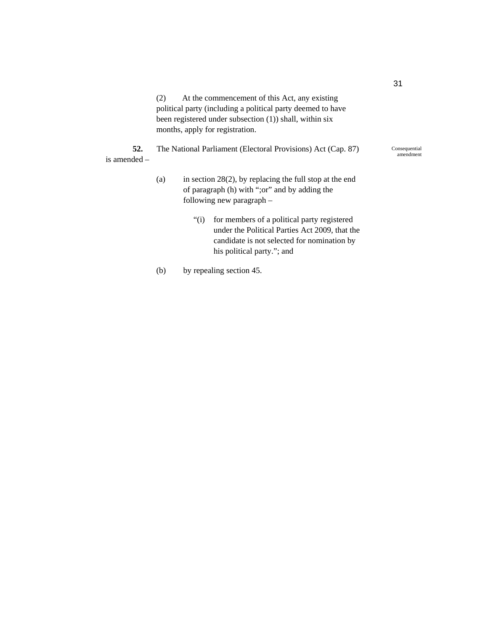(2) At the commencement of this Act, any existing political party (including a political party deemed to have been registered under subsection (1)) shall, within six months, apply for registration.

**52.** The National Parliament (Electoral Provisions) Act (Cap. 87) is amended –

- (a) in section  $28(2)$ , by replacing the full stop at the end of paragraph (h) with ";or" and by adding the following new paragraph –
	- "(i) for members of a political party registered under the Political Parties Act 2009, that the candidate is not selected for nomination by his political party."; and

(b) by repealing section 45.

Consequential amendment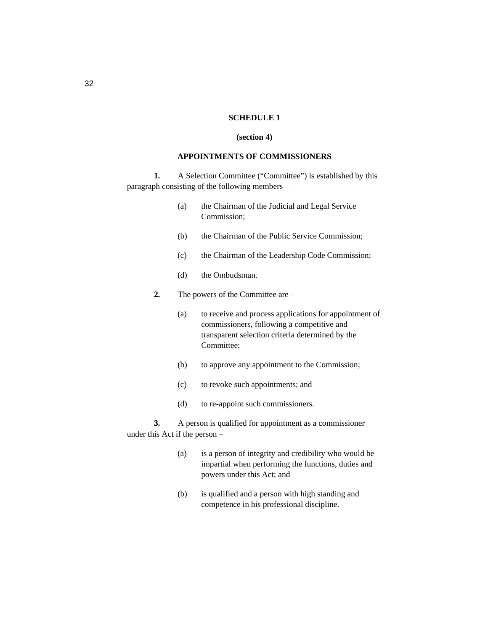#### **SCHEDULE 1**

#### **(section 4)**

#### **APPOINTMENTS OF COMMISSIONERS**

**1.** A Selection Committee ("Committee") is established by this paragraph consisting of the following members –

- (a) the Chairman of the Judicial and Legal Service Commission;
- (b) the Chairman of the Public Service Commission;
- (c) the Chairman of the Leadership Code Commission;
- (d) the Ombudsman.

**2.** The powers of the Committee are –

- (a) to receive and process applications for appointment of commissioners, following a competitive and transparent selection criteria determined by the Committee;
- (b) to approve any appointment to the Commission;
- (c) to revoke such appointments; and
- (d) to re-appoint such commissioners.

**3.** A person is qualified for appointment as a commissioner under this Act if the person –

- (a) is a person of integrity and credibility who would be impartial when performing the functions, duties and powers under this Act; and
- (b) is qualified and a person with high standing and competence in his professional discipline.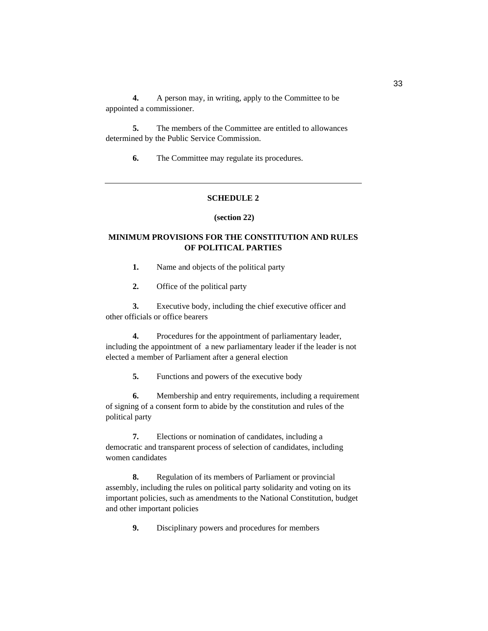**4.** A person may, in writing, apply to the Committee to be appointed a commissioner.

**5.** The members of the Committee are entitled to allowances determined by the Public Service Commission.

**6.** The Committee may regulate its procedures.

# **SCHEDULE 2**

#### **(section 22)**

# **MINIMUM PROVISIONS FOR THE CONSTITUTION AND RULES OF POLITICAL PARTIES**

**1.** Name and objects of the political party

**2.** Office of the political party

**3.** Executive body, including the chief executive officer and other officials or office bearers

**4.** Procedures for the appointment of parliamentary leader, including the appointment of a new parliamentary leader if the leader is not elected a member of Parliament after a general election

**5.** Functions and powers of the executive body

**6.** Membership and entry requirements, including a requirement of signing of a consent form to abide by the constitution and rules of the political party

**7.** Elections or nomination of candidates, including a democratic and transparent process of selection of candidates, including women candidates

**8.** Regulation of its members of Parliament or provincial assembly, including the rules on political party solidarity and voting on its important policies, such as amendments to the National Constitution, budget and other important policies

**9.** Disciplinary powers and procedures for members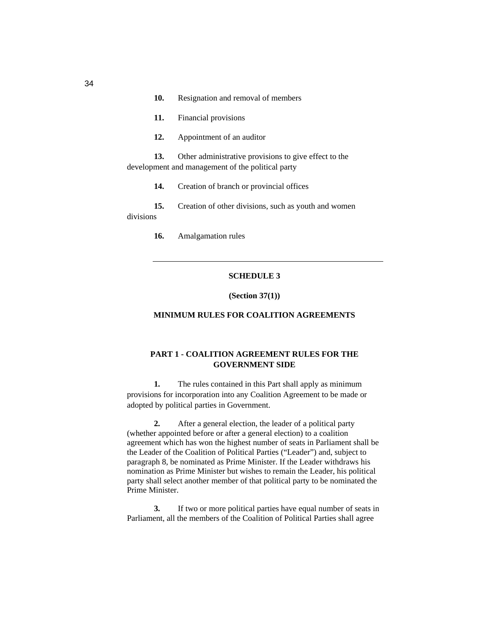|           | 10. | Resignation and removal of members                                                                         |
|-----------|-----|------------------------------------------------------------------------------------------------------------|
|           | 11. | Financial provisions                                                                                       |
|           | 12. | Appointment of an auditor                                                                                  |
|           | 13. | Other administrative provisions to give effect to the<br>development and management of the political party |
|           | 14. | Creation of branch or provincial offices                                                                   |
| divisions | 15. | Creation of other divisions, such as youth and women                                                       |
|           | 16. | Amalgamation rules                                                                                         |

# **SCHEDULE 3**

**(Section 37(1))** 

# **MINIMUM RULES FOR COALITION AGREEMENTS**

# **PART 1 - COALITION AGREEMENT RULES FOR THE GOVERNMENT SIDE**

**1.** The rules contained in this Part shall apply as minimum provisions for incorporation into any Coalition Agreement to be made or adopted by political parties in Government.

**2.** After a general election, the leader of a political party (whether appointed before or after a general election) to a coalition agreement which has won the highest number of seats in Parliament shall be the Leader of the Coalition of Political Parties ("Leader") and, subject to paragraph 8, be nominated as Prime Minister. If the Leader withdraws his nomination as Prime Minister but wishes to remain the Leader, his political party shall select another member of that political party to be nominated the Prime Minister.

**3.** If two or more political parties have equal number of seats in Parliament, all the members of the Coalition of Political Parties shall agree

34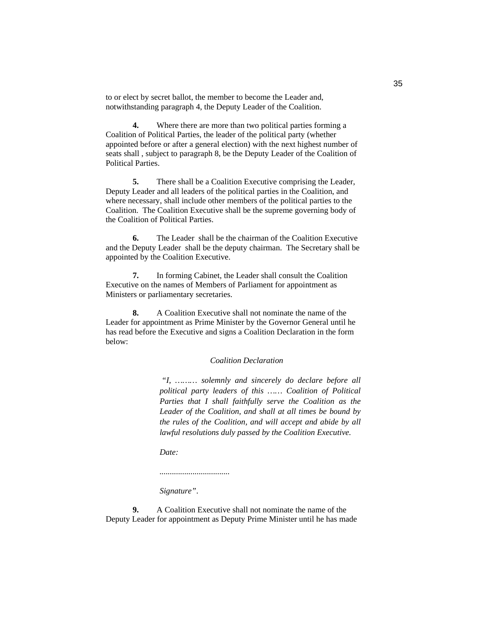to or elect by secret ballot, the member to become the Leader and, notwithstanding paragraph 4, the Deputy Leader of the Coalition.

**4.** Where there are more than two political parties forming a Coalition of Political Parties, the leader of the political party (whether appointed before or after a general election) with the next highest number of seats shall , subject to paragraph 8, be the Deputy Leader of the Coalition of Political Parties.

**5.** There shall be a Coalition Executive comprising the Leader, Deputy Leader and all leaders of the political parties in the Coalition, and where necessary, shall include other members of the political parties to the Coalition. The Coalition Executive shall be the supreme governing body of the Coalition of Political Parties.

**6.** The Leader shall be the chairman of the Coalition Executive and the Deputy Leader shall be the deputy chairman. The Secretary shall be appointed by the Coalition Executive.

**7.** In forming Cabinet, the Leader shall consult the Coalition Executive on the names of Members of Parliament for appointment as Ministers or parliamentary secretaries.

**8.** A Coalition Executive shall not nominate the name of the Leader for appointment as Prime Minister by the Governor General until he has read before the Executive and signs a Coalition Declaration in the form below:

#### *Coalition Declaration*

 *"I, ……… solemnly and sincerely do declare before all political party leaders of this …… Coalition of Political Parties that I shall faithfully serve the Coalition as the Leader of the Coalition, and shall at all times be bound by the rules of the Coalition, and will accept and abide by all lawful resolutions duly passed by the Coalition Executive.* 

*Date:* 

*..................................* 

*Signature"*.

**9.** A Coalition Executive shall not nominate the name of the Deputy Leader for appointment as Deputy Prime Minister until he has made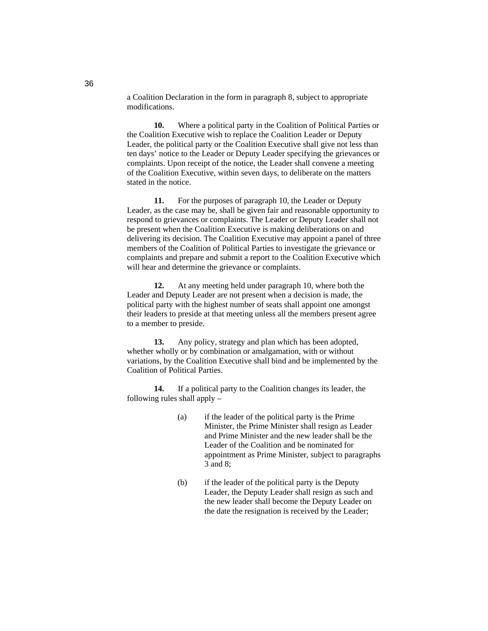a Coalition Declaration in the form in paragraph 8, subject to appropriate modifications.

**10.** Where a political party in the Coalition of Political Parties or the Coalition Executive wish to replace the Coalition Leader or Deputy Leader, the political party or the Coalition Executive shall give not less than ten days' notice to the Leader or Deputy Leader specifying the grievances or complaints. Upon receipt of the notice, the Leader shall convene a meeting of the Coalition Executive, within seven days, to deliberate on the matters stated in the notice.

**11.** For the purposes of paragraph 10, the Leader or Deputy Leader, as the case may be, shall be given fair and reasonable opportunity to respond to grievances or complaints. The Leader or Deputy Leader shall not be present when the Coalition Executive is making deliberations on and delivering its decision. The Coalition Executive may appoint a panel of three members of the Coalition of Political Parties to investigate the grievance or complaints and prepare and submit a report to the Coalition Executive which will hear and determine the grievance or complaints.

**12.** At any meeting held under paragraph 10, where both the Leader and Deputy Leader are not present when a decision is made, the political party with the highest number of seats shall appoint one amongst their leaders to preside at that meeting unless all the members present agree to a member to preside.

**13.** Any policy, strategy and plan which has been adopted, whether wholly or by combination or amalgamation, with or without variations, by the Coalition Executive shall bind and be implemented by the Coalition of Political Parties.

**14.** If a political party to the Coalition changes its leader, the following rules shall apply –

- (a) if the leader of the political party is the Prime Minister, the Prime Minister shall resign as Leader and Prime Minister and the new leader shall be the Leader of the Coalition and be nominated for appointment as Prime Minister, subject to paragraphs 3 and 8;
- (b) if the leader of the political party is the Deputy Leader, the Deputy Leader shall resign as such and the new leader shall become the Deputy Leader on the date the resignation is received by the Leader;

36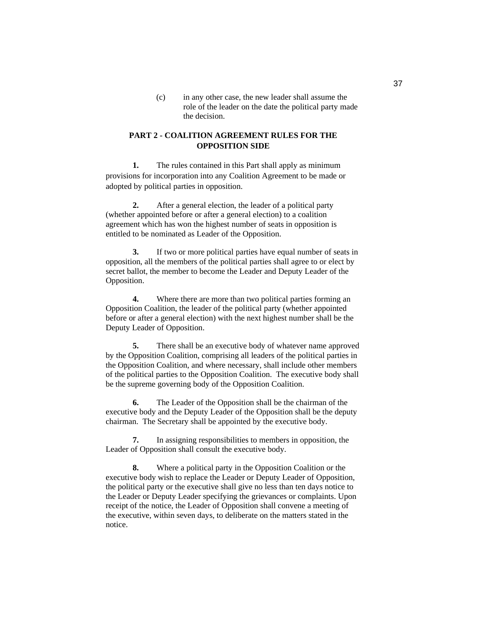(c) in any other case, the new leader shall assume the role of the leader on the date the political party made the decision.

# **PART 2 - COALITION AGREEMENT RULES FOR THE OPPOSITION SIDE**

**1.** The rules contained in this Part shall apply as minimum provisions for incorporation into any Coalition Agreement to be made or adopted by political parties in opposition.

**2.** After a general election, the leader of a political party (whether appointed before or after a general election) to a coalition agreement which has won the highest number of seats in opposition is entitled to be nominated as Leader of the Opposition.

**3.** If two or more political parties have equal number of seats in opposition, all the members of the political parties shall agree to or elect by secret ballot, the member to become the Leader and Deputy Leader of the Opposition.

**4.** Where there are more than two political parties forming an Opposition Coalition, the leader of the political party (whether appointed before or after a general election) with the next highest number shall be the Deputy Leader of Opposition.

**5.** There shall be an executive body of whatever name approved by the Opposition Coalition, comprising all leaders of the political parties in the Opposition Coalition, and where necessary, shall include other members of the political parties to the Opposition Coalition. The executive body shall be the supreme governing body of the Opposition Coalition.

**6.** The Leader of the Opposition shall be the chairman of the executive body and the Deputy Leader of the Opposition shall be the deputy chairman. The Secretary shall be appointed by the executive body.

**7.** In assigning responsibilities to members in opposition, the Leader of Opposition shall consult the executive body.

**8.** Where a political party in the Opposition Coalition or the executive body wish to replace the Leader or Deputy Leader of Opposition, the political party or the executive shall give no less than ten days notice to the Leader or Deputy Leader specifying the grievances or complaints. Upon receipt of the notice, the Leader of Opposition shall convene a meeting of the executive, within seven days, to deliberate on the matters stated in the notice.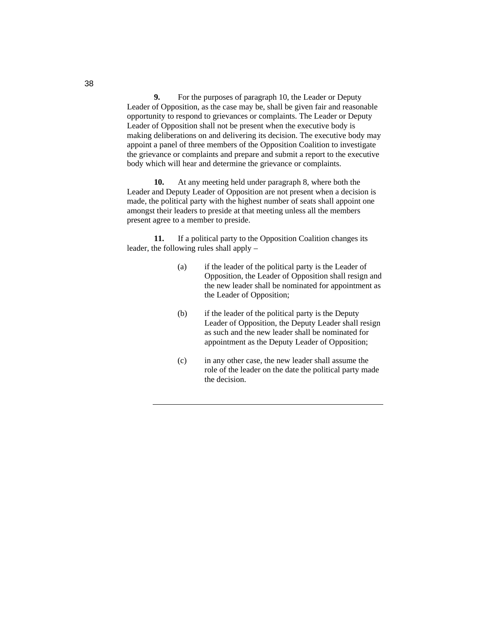**9.** For the purposes of paragraph 10, the Leader or Deputy Leader of Opposition, as the case may be, shall be given fair and reasonable opportunity to respond to grievances or complaints. The Leader or Deputy Leader of Opposition shall not be present when the executive body is making deliberations on and delivering its decision. The executive body may appoint a panel of three members of the Opposition Coalition to investigate the grievance or complaints and prepare and submit a report to the executive body which will hear and determine the grievance or complaints.

**10.** At any meeting held under paragraph 8, where both the Leader and Deputy Leader of Opposition are not present when a decision is made, the political party with the highest number of seats shall appoint one amongst their leaders to preside at that meeting unless all the members present agree to a member to preside.

**11.** If a political party to the Opposition Coalition changes its leader, the following rules shall apply –

- (a) if the leader of the political party is the Leader of Opposition, the Leader of Opposition shall resign and the new leader shall be nominated for appointment as the Leader of Opposition;
- (b) if the leader of the political party is the Deputy Leader of Opposition, the Deputy Leader shall resign as such and the new leader shall be nominated for appointment as the Deputy Leader of Opposition;
- (c) in any other case, the new leader shall assume the role of the leader on the date the political party made the decision.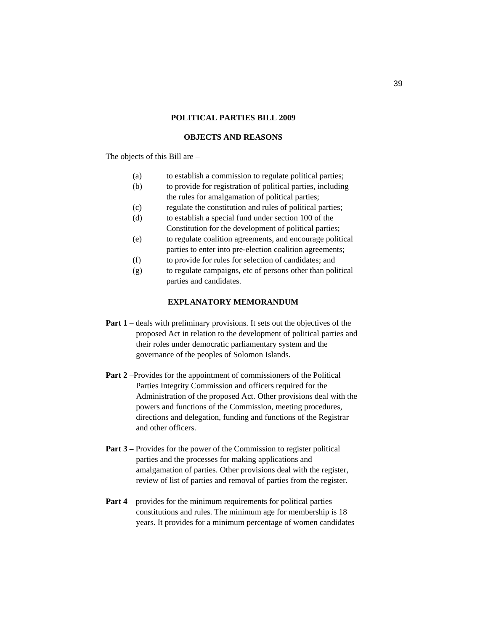#### **POLITICAL PARTIES BILL 2009**

#### **OBJECTS AND REASONS**

The objects of this Bill are –

- (a) to establish a commission to regulate political parties;
- (b) to provide for registration of political parties, including
- the rules for amalgamation of political parties;
- (c) regulate the constitution and rules of political parties;
- (d) to establish a special fund under section 100 of the Constitution for the development of political parties;
- (e) to regulate coalition agreements, and encourage political parties to enter into pre-election coalition agreements;
- (f) to provide for rules for selection of candidates; and
- (g) to regulate campaigns, etc of persons other than political parties and candidates.

# **EXPLANATORY MEMORANDUM**

- **Part 1** deals with preliminary provisions. It sets out the objectives of the proposed Act in relation to the development of political parties and their roles under democratic parliamentary system and the governance of the peoples of Solomon Islands.
- **Part 2** –Provides for the appointment of commissioners of the Political Parties Integrity Commission and officers required for the Administration of the proposed Act. Other provisions deal with the powers and functions of the Commission, meeting procedures, directions and delegation, funding and functions of the Registrar and other officers.
- **Part 3** Provides for the power of the Commission to register political parties and the processes for making applications and amalgamation of parties. Other provisions deal with the register, review of list of parties and removal of parties from the register.
- **Part 4** provides for the minimum requirements for political parties constitutions and rules. The minimum age for membership is 18 years. It provides for a minimum percentage of women candidates